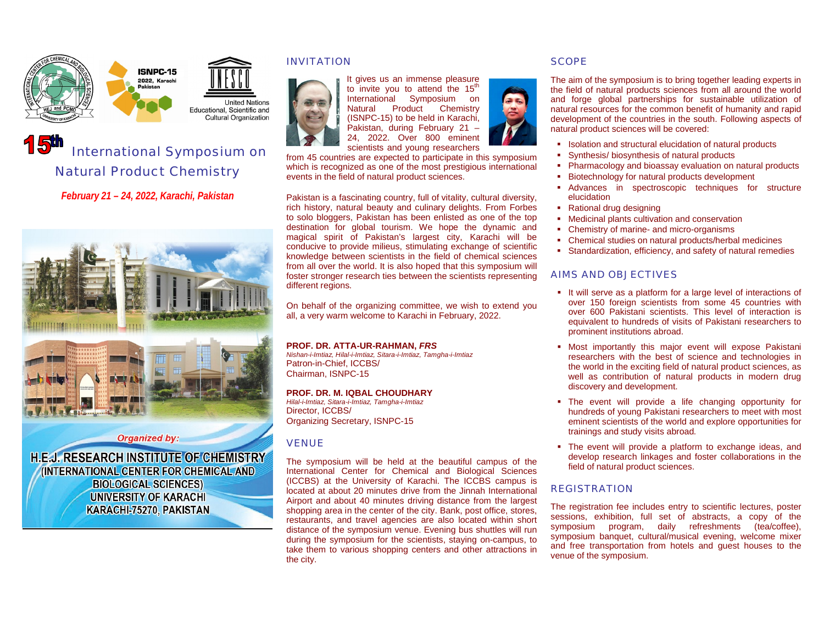



**United Nations** Educational, Scientific and **Cultural Organization** 

# International Symposium on Natural Product Chemistry

*February 21 – 24, 2022, Karachi, Pakistan*



## **Organized by:**

**H.E.J. RESEARCH INSTITUTE OF CHEMISTRY** (INTERNATIONAL CENTER FOR CHEMICAL AND **BIOLOGICAL SCIENCES) UNIVERSITY OF KARACHI** KARACHI-75270, PAKISTAN

# INVITATION



It gives us an immense pleasure to invite you to attend the  $15<sup>th</sup>$ International Symposium on Natural Product Chemistry (ISNPC-15) to be held in Karachi, Pakistan, during February 21 – 24, 2022. Over 800 eminent scientists and young researchers

from 45 countries are expected to participate in this symposium which is recognized as one of the most prestigious international events in the field of natural product sciences.

Pakistan is a fascinating country, full of vitality, cultural diversity, rich history, natural beauty and culinary delights. From Forbes to solo bloggers, Pakistan has been enlisted as one of the top destination for global tourism. We hope the dynamic and magical spirit of Pakistan's largest city, Karachi will be conducive to provide milieus, stimulating exchange of scientific knowledge between scientists in the field of chemical sciences from all over the world. It is also hoped that this symposium will foster stronger research ties between the scientists representing different regions.

On behalf of the organizing committee, we wish to extend you all, a very warm welcome to Karachi in February, 2022.

# **PROF. DR. ATTA-UR-RAHMAN,** *FRS*

*Nishan-i-Imtiaz, Hilal-i-Imtiaz, Sitara-i-Imtiaz, Tamgha-i-Imtiaz* Patron-in-Chief, ICCBS/ Chairman, ISNPC-15

## **PROF. DR. M. IQBAL CHOUDHARY**

*Hilal-i-Imtiaz, Sitara-i-Imtiaz, Tamgha-i-Imtiaz* Director, ICCBS/ Organizing Secretary, ISNPC-15

# VENUE

The symposium will be held at the beautiful campus of the International Center for Chemical and Biological Sciences (ICCBS) at the University of Karachi. The ICCBS campus is located at about 20 minutes drive from the Jinnah International Airport and about 40 minutes driving distance from the largest shopping area in the center of the city. Bank, post office, stores, restaurants, and travel agencies are also located within short distance of the symposium venue. Evening bus shuttles will run during the symposium for the scientists, staying on-campus, to take them to various shopping centers and other attractions in the city.

# **SCOPE**

The aim of the symposium is to bring together leading experts in the field of natural products sciences from all around the world and forge global partnerships for sustainable utilization of natural resources for the common benefit of humanity and rapid development of the countries in the south. Following aspects of natural product sciences will be covered:

- **ISOlation and structural elucidation of natural products**
- Synthesis/ biosynthesis of natural products
- **Pharmacology and bioassay evaluation on natural products**
- **Biotechnology for natural products development**
- Advances in spectroscopic techniques for structure elucidation
- Rational drug designing
- **Medicinal plants cultivation and conservation**
- Chemistry of marine- and micro-organisms
- Chemical studies on natural products/herbal medicines
- Standardization, efficiency, and safety of natural remedies

# AIMS AND OBJECTIVES

- It will serve as a platform for a large level of interactions of over 150 foreign scientists from some 45 countries with over 600 Pakistani scientists. This level of interaction is equivalent to hundreds of visits of Pakistani researchers to prominent institutions abroad.
- Most importantly this major event will expose Pakistani researchers with the best of science and technologies in the world in the exciting field of natural product sciences, as well as contribution of natural products in modern drug discovery and development.
- The event will provide a life changing opportunity for hundreds of young Pakistani researchers to meet with most eminent scientists of the world and explore opportunities for trainings and study visits abroad.
- The event will provide a platform to exchange ideas, and develop research linkages and foster collaborations in the field of natural product sciences.

# **REGISTRATION**

The registration fee includes entry to scientific lectures, poster sessions, exhibition, full set of abstracts, a copy of the symposium program, daily refreshments (tea/coffee), symposium banquet, cultural/musical evening, welcome mixer and free transportation from hotels and guest houses to the venue of the symposium.